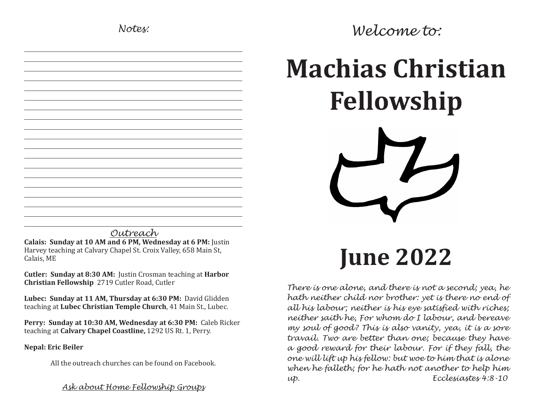# *Notes:*

| $\mathbf{7}$<br>∸<br>⌒<br><b>Contract Contract Contract</b> |
|-------------------------------------------------------------|

*Outreach* **Calais: Sunday at 10 AM and 6 PM, Wednesday at 6 PM:** Justin Harvey teaching at Calvary Chapel St. Croix Valley, 658 Main St, Calais, ME

**Cutler: Sunday at 8:30 AM:** Justin Crosman teaching at **Harbor Christian Fellowship** 2719 Cutler Road, Cutler

**Lubec: Sunday at 11 AM, Thursday at 6:30 PM:** David Glidden teaching at **Lubec Christian Temple Church**, 41 Main St., Lubec.

**Perry: Sunday at 10:30 AM, Wednesday at 6:30 PM:** Caleb Ricker teaching at **Calvary Chapel Coastline,** 1292 US Rt. 1, Perry.

**Nepal: Eric Beiler**

All the outreach churches can be found on Facebook.

*Ask about Home Fellowship Groups*

*Welcome to:*

# **Machias Christian Fellowship**

**June 2022**

*There is one alone, and there is not a second; yea, he hath neither child nor brother: yet is there no end of all his labour; neither is his eye satisfied with riches; neither saith he, For whom do I labour, and bereave my soul of good? This is also vanity, yea, it is a sore travail. Two are better than one; because they have a good reward for their labour. For if they fall, the one will lift up his fellow: but woe to him that is alone when he falleth; for he hath not another to help him up. Ecclesiastes 4:8-10*